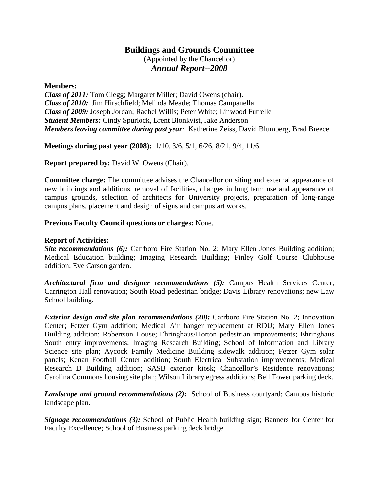## **Buildings and Grounds Committee**

(Appointed by the Chancellor) *Annual Report--2008*

## **Members:**

*Class of 2011:* Tom Clegg; Margaret Miller; David Owens (chair). *Class of 2010:* Jim Hirschfield; Melinda Meade; Thomas Campanella. *Class of 2009:* Joseph Jordan; Rachel Willis; Peter White; Linwood Futrelle *Student Members:* Cindy Spurlock, Brent Blonkvist, Jake Anderson *Members leaving committee during past year:* Katherine Zeiss, David Blumberg, Brad Breece

**Meetings during past year (2008):** 1/10, 3/6, 5/1, 6/26, 8/21, 9/4, 11/6.

**Report prepared by:** David W. Owens (Chair).

**Committee charge:** The committee advises the Chancellor on siting and external appearance of new buildings and additions, removal of facilities, changes in long term use and appearance of campus grounds, selection of architects for University projects, preparation of long-range campus plans, placement and design of signs and campus art works.

## **Previous Faculty Council questions or charges:** None.

## **Report of Activities:**

*Site recommendations (6):* Carrboro Fire Station No. 2; Mary Ellen Jones Building addition; Medical Education building; Imaging Research Building; Finley Golf Course Clubhouse addition; Eve Carson garden.

*Architectural firm and designer recommendations (5):* Campus Health Services Center; Carrington Hall renovation; South Road pedestrian bridge; Davis Library renovations; new Law School building.

*Exterior design and site plan recommendations (20):* Carrboro Fire Station No. 2; Innovation Center; Fetzer Gym addition; Medical Air hanger replacement at RDU; Mary Ellen Jones Building addition; Robertson House; Ehringhaus/Horton pedestrian improvements; Ehringhaus South entry improvements; Imaging Research Building; School of Information and Library Science site plan; Aycock Family Medicine Building sidewalk addition; Fetzer Gym solar panels; Kenan Football Center addition; South Electrical Substation improvements; Medical Research D Building addition; SASB exterior kiosk; Chancellor's Residence renovations; Carolina Commons housing site plan; Wilson Library egress additions; Bell Tower parking deck.

*Landscape and ground recommendations (2):* School of Business courtyard; Campus historic landscape plan.

*Signage recommendations (3):* School of Public Health building sign; Banners for Center for Faculty Excellence; School of Business parking deck bridge.